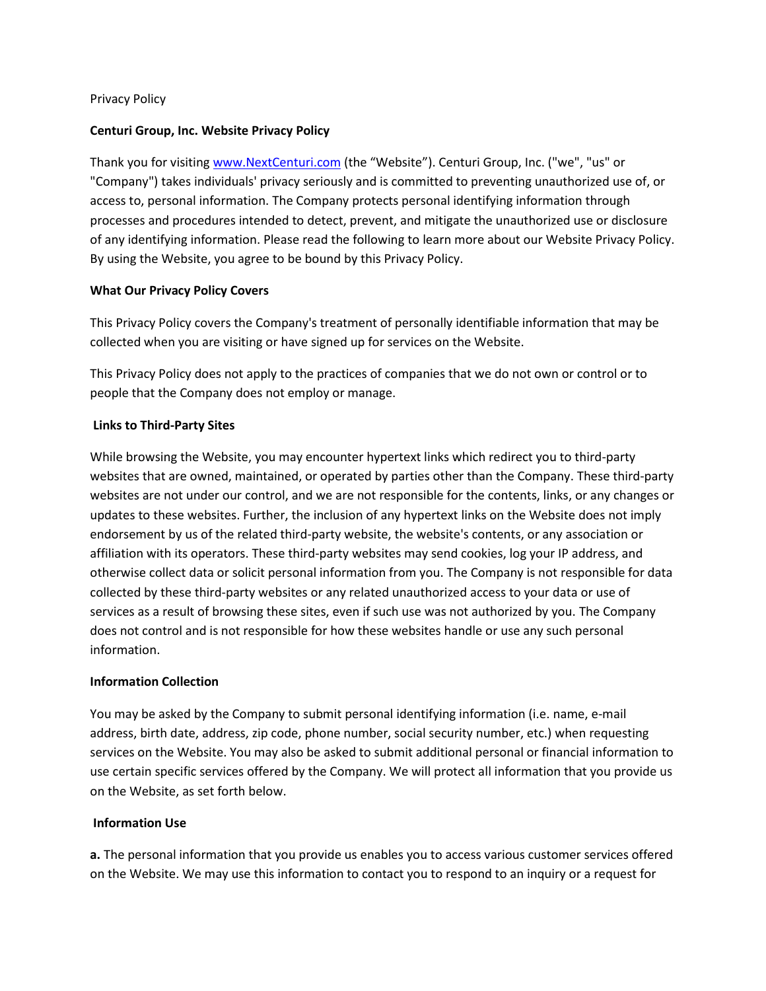#### Privacy Policy

#### **Centuri Group, Inc. Website Privacy Policy**

Thank you for visiting [www.NextCenturi.com](http://www.nextcenturi.com/) (the "Website"). Centuri Group, Inc. ("we", "us" or "Company") takes individuals' privacy seriously and is committed to preventing unauthorized use of, or access to, personal information. The Company protects personal identifying information through processes and procedures intended to detect, prevent, and mitigate the unauthorized use or disclosure of any identifying information. Please read the following to learn more about our Website Privacy Policy. By using the Website, you agree to be bound by this Privacy Policy.

#### **What Our Privacy Policy Covers**

This Privacy Policy covers the Company's treatment of personally identifiable information that may be collected when you are visiting or have signed up for services on the Website.

This Privacy Policy does not apply to the practices of companies that we do not own or control or to people that the Company does not employ or manage.

#### **Links to Third-Party Sites**

While browsing the Website, you may encounter hypertext links which redirect you to third-party websites that are owned, maintained, or operated by parties other than the Company. These third-party websites are not under our control, and we are not responsible for the contents, links, or any changes or updates to these websites. Further, the inclusion of any hypertext links on the Website does not imply endorsement by us of the related third-party website, the website's contents, or any association or affiliation with its operators. These third-party websites may send cookies, log your IP address, and otherwise collect data or solicit personal information from you. The Company is not responsible for data collected by these third-party websites or any related unauthorized access to your data or use of services as a result of browsing these sites, even if such use was not authorized by you. The Company does not control and is not responsible for how these websites handle or use any such personal information.

# **Information Collection**

You may be asked by the Company to submit personal identifying information (i.e. name, e-mail address, birth date, address, zip code, phone number, social security number, etc.) when requesting services on the Website. You may also be asked to submit additional personal or financial information to use certain specific services offered by the Company. We will protect all information that you provide us on the Website, as set forth below.

#### **Information Use**

**a.** The personal information that you provide us enables you to access various customer services offered on the Website. We may use this information to contact you to respond to an inquiry or a request for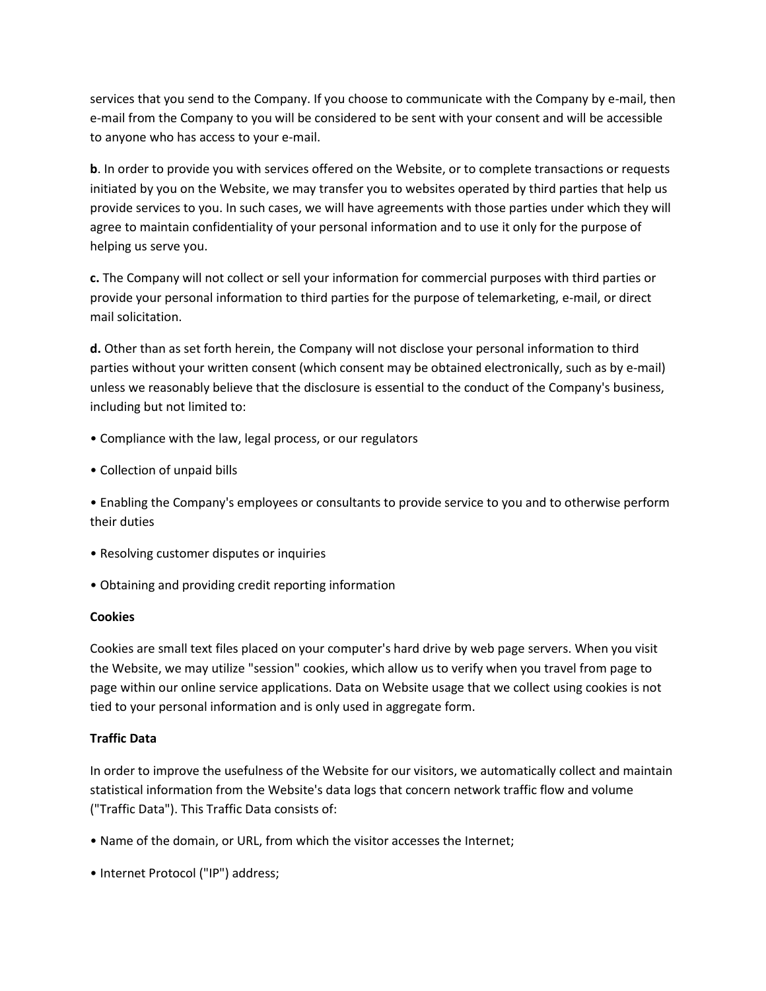services that you send to the Company. If you choose to communicate with the Company by e-mail, then e-mail from the Company to you will be considered to be sent with your consent and will be accessible to anyone who has access to your e-mail.

**b**. In order to provide you with services offered on the Website, or to complete transactions or requests initiated by you on the Website, we may transfer you to websites operated by third parties that help us provide services to you. In such cases, we will have agreements with those parties under which they will agree to maintain confidentiality of your personal information and to use it only for the purpose of helping us serve you.

**c.** The Company will not collect or sell your information for commercial purposes with third parties or provide your personal information to third parties for the purpose of telemarketing, e-mail, or direct mail solicitation.

**d.** Other than as set forth herein, the Company will not disclose your personal information to third parties without your written consent (which consent may be obtained electronically, such as by e-mail) unless we reasonably believe that the disclosure is essential to the conduct of the Company's business, including but not limited to:

- Compliance with the law, legal process, or our regulators
- Collection of unpaid bills
- Enabling the Company's employees or consultants to provide service to you and to otherwise perform their duties
- Resolving customer disputes or inquiries
- Obtaining and providing credit reporting information

# **Cookies**

Cookies are small text files placed on your computer's hard drive by web page servers. When you visit the Website, we may utilize "session" cookies, which allow us to verify when you travel from page to page within our online service applications. Data on Website usage that we collect using cookies is not tied to your personal information and is only used in aggregate form.

# **Traffic Data**

In order to improve the usefulness of the Website for our visitors, we automatically collect and maintain statistical information from the Website's data logs that concern network traffic flow and volume ("Traffic Data"). This Traffic Data consists of:

- Name of the domain, or URL, from which the visitor accesses the Internet;
- Internet Protocol ("IP") address;